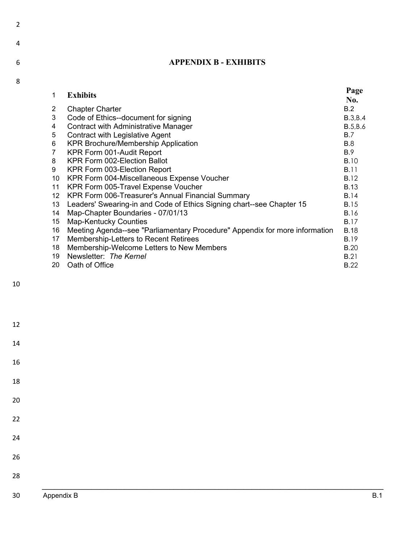## 6

2

8

## **APPENDIX B - EXHIBITS**

| 1  | <b>Exhibits</b>                                                             | Page            |
|----|-----------------------------------------------------------------------------|-----------------|
|    |                                                                             | No.             |
| 2  | <b>Chapter Charter</b>                                                      | B.2             |
| 3  | Code of Ethics--document for signing                                        | <b>B.3, B.4</b> |
| 4  | <b>Contract with Administrative Manager</b>                                 | B.5,B.6         |
| 5  | <b>Contract with Legislative Agent</b>                                      | <b>B.7</b>      |
| 6  | <b>KPR Brochure/Membership Application</b>                                  | <b>B.8</b>      |
| 7  | KPR Form 001-Audit Report                                                   | B.9             |
| 8  | KPR Form 002-Election Ballot                                                | <b>B.10</b>     |
| 9  | KPR Form 003-Election Report                                                | <b>B.11</b>     |
| 10 | KPR Form 004-Miscellaneous Expense Voucher                                  | <b>B.12</b>     |
| 11 | KPR Form 005-Travel Expense Voucher                                         | <b>B.13</b>     |
| 12 | KPR Form 006-Treasurer's Annual Financial Summary                           | B.14            |
| 13 | Leaders' Swearing-in and Code of Ethics Signing chart--see Chapter 15       | <b>B.15</b>     |
| 14 | Map-Chapter Boundaries - 07/01/13                                           | <b>B.16</b>     |
| 15 | <b>Map-Kentucky Counties</b>                                                | <b>B.17</b>     |
| 16 | Meeting Agenda--see "Parliamentary Procedure" Appendix for more information | <b>B.18</b>     |
| 17 | Membership-Letters to Recent Retirees                                       | <b>B.19</b>     |
| 18 | Membership-Welcome Letters to New Members                                   | <b>B.20</b>     |
| 19 | Newsletter: The Kernel                                                      | <b>B.21</b>     |
| 20 | Oath of Office                                                              | <b>B.22</b>     |
|    |                                                                             |                 |

| 30 <sub>o</sub> | Appendix B | <b>B.1</b> |
|-----------------|------------|------------|
| 28              |            |            |
| $26\,$          |            |            |
| 24              |            |            |
| 22              |            |            |
| $20\,$          |            |            |
| 18              |            |            |
| $16\,$          |            |            |
| $14\,$          |            |            |
| $12\,$          |            |            |
|                 |            |            |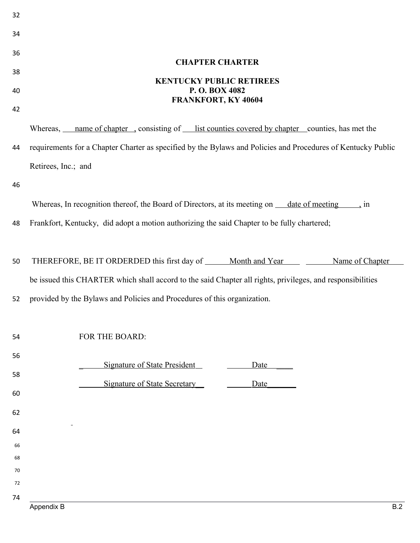| 34       |                                                                                                              |
|----------|--------------------------------------------------------------------------------------------------------------|
| 36       | <b>CHAPTER CHARTER</b>                                                                                       |
| 38       |                                                                                                              |
| 40       | <b>KENTUCKY PUBLIC RETIREES</b><br>P.O. BOX 4082<br>FRANKFORT, KY 40604                                      |
| 42       |                                                                                                              |
|          | Whereas, name of chapter, consisting of list counties covered by chapter counties, has met the               |
| 44       | requirements for a Chapter Charter as specified by the Bylaws and Policies and Procedures of Kentucky Public |
|          | Retirees, Inc.; and                                                                                          |
| 46       |                                                                                                              |
|          | Whereas, In recognition thereof, the Board of Directors, at its meeting on <u>date of meeting</u> , in       |
| 48       | Frankfort, Kentucky, did adopt a motion authorizing the said Chapter to be fully chartered;                  |
|          |                                                                                                              |
| 50       | THEREFORE, BE IT ORDERDED this first day of _____ Month and Year ____ ____<br>Name of Chapter                |
|          |                                                                                                              |
|          | be issued this CHARTER which shall accord to the said Chapter all rights, privileges, and responsibilities   |
| 52       | provided by the Bylaws and Policies and Procedures of this organization.                                     |
|          |                                                                                                              |
| 54       | FOR THE BOARD:                                                                                               |
| 56       |                                                                                                              |
| 58       | <b>Signature of State President</b><br>Date                                                                  |
| 60       | <b>Signature of State Secretary</b><br>Date                                                                  |
| 62       |                                                                                                              |
| 64       |                                                                                                              |
| 66       |                                                                                                              |
| 68       |                                                                                                              |
| 70<br>72 |                                                                                                              |
| 74       |                                                                                                              |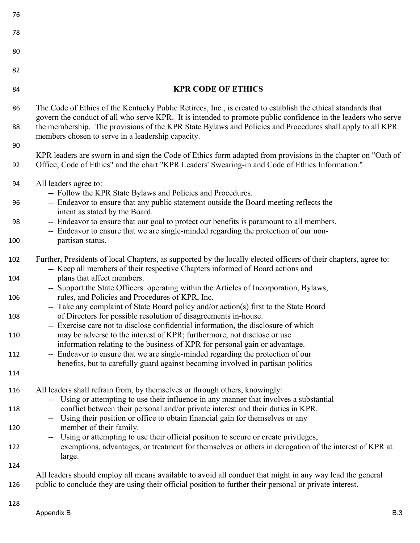| 76  |                                                                                                                                                                                                                                                                                 |
|-----|---------------------------------------------------------------------------------------------------------------------------------------------------------------------------------------------------------------------------------------------------------------------------------|
| 78  |                                                                                                                                                                                                                                                                                 |
| 80  |                                                                                                                                                                                                                                                                                 |
| 82  |                                                                                                                                                                                                                                                                                 |
| 84  | <b>KPR CODE OF ETHICS</b>                                                                                                                                                                                                                                                       |
| 86  | The Code of Ethics of the Kentucky Public Retirees, Inc., is created to establish the ethical standards that                                                                                                                                                                    |
| 88  | govern the conduct of all who serve KPR. It is intended to promote public confidence in the leaders who serve<br>the membership. The provisions of the KPR State Bylaws and Policies and Procedures shall apply to all KPR<br>members chosen to serve in a leadership capacity. |
| 90  |                                                                                                                                                                                                                                                                                 |
| 92  | KPR leaders are sworn in and sign the Code of Ethics form adapted from provisions in the chapter on "Oath of<br>Office; Code of Ethics" and the chart "KPR Leaders' Swearing-in and Code of Ethics Information."                                                                |
| 94  | All leaders agree to:                                                                                                                                                                                                                                                           |
| 96  | -- Follow the KPR State Bylaws and Policies and Procedures.<br>-- Endeavor to ensure that any public statement outside the Board meeting reflects the                                                                                                                           |
| 98  | intent as stated by the Board.<br>-- Endeavor to ensure that our goal to protect our benefits is paramount to all members.                                                                                                                                                      |
| 100 | -- Endeavor to ensure that we are single-minded regarding the protection of our non-<br>partisan status.                                                                                                                                                                        |
| 102 | Further, Presidents of local Chapters, as supported by the locally elected officers of their chapters, agree to:<br>-- Keep all members of their respective Chapters informed of Board actions and                                                                              |
| 104 | plans that affect members.<br>-- Support the State Officers. operating within the Articles of Incorporation, Bylaws,                                                                                                                                                            |
| 106 | rules, and Policies and Procedures of KPR, Inc.<br>-- Take any complaint of State Board policy and/or action(s) first to the State Board                                                                                                                                        |
| 108 | of Directors for possible resolution of disagreements in-house.                                                                                                                                                                                                                 |
| 110 | -- Exercise care not to disclose confidential information, the disclosure of which<br>may be adverse to the interest of KPR; furthermore, not disclose or use                                                                                                                   |
|     | information relating to the business of KPR for personal gain or advantage.                                                                                                                                                                                                     |
| 112 | -- Endeavor to ensure that we are single-minded regarding the protection of our<br>benefits, but to carefully guard against becoming involved in partisan politics                                                                                                              |
| 114 |                                                                                                                                                                                                                                                                                 |
| 116 | All leaders shall refrain from, by themselves or through others, knowingly:                                                                                                                                                                                                     |
| 118 | -- Using or attempting to use their influence in any manner that involves a substantial<br>conflict between their personal and/or private interest and their duties in KPR.                                                                                                     |
| 120 | Using their position or office to obtain financial gain for themselves or any<br>$\overline{\phantom{a}}$<br>member of their family.                                                                                                                                            |
| 122 | Using or attempting to use their official position to secure or create privileges,<br>$--$<br>exemptions, advantages, or treatment for themselves or others in derogation of the interest of KPR at                                                                             |
| 124 | large.                                                                                                                                                                                                                                                                          |
|     | All leaders should employ all means available to avoid all conduct that might in any way lead the general                                                                                                                                                                       |
| 126 | public to conclude they are using their official position to further their personal or private interest.                                                                                                                                                                        |
| 128 |                                                                                                                                                                                                                                                                                 |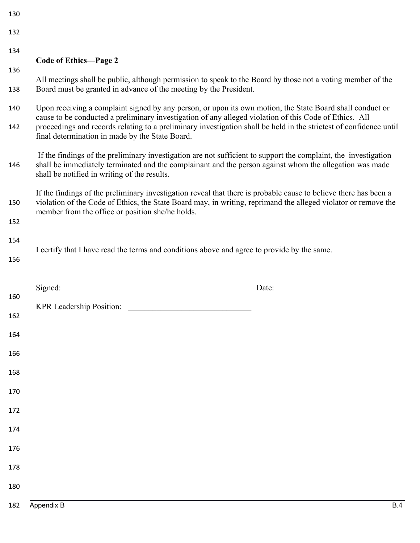| 130 |                                                                                                                                                                                                                                                                                        |       |
|-----|----------------------------------------------------------------------------------------------------------------------------------------------------------------------------------------------------------------------------------------------------------------------------------------|-------|
| 132 |                                                                                                                                                                                                                                                                                        |       |
| 134 | <b>Code of Ethics-Page 2</b>                                                                                                                                                                                                                                                           |       |
| 136 |                                                                                                                                                                                                                                                                                        |       |
| 138 | All meetings shall be public, although permission to speak to the Board by those not a voting member of the<br>Board must be granted in advance of the meeting by the President.                                                                                                       |       |
| 140 | Upon receiving a complaint signed by any person, or upon its own motion, the State Board shall conduct or<br>cause to be conducted a preliminary investigation of any alleged violation of this Code of Ethics. All                                                                    |       |
| 142 | proceedings and records relating to a preliminary investigation shall be held in the strictest of confidence until<br>final determination in made by the State Board.                                                                                                                  |       |
| 146 | If the findings of the preliminary investigation are not sufficient to support the complaint, the investigation<br>shall be immediately terminated and the complainant and the person against whom the allegation was made<br>shall be notified in writing of the results.             |       |
| 150 | If the findings of the preliminary investigation reveal that there is probable cause to believe there has been a<br>violation of the Code of Ethics, the State Board may, in writing, reprimand the alleged violator or remove the<br>member from the office or position she/he holds. |       |
| 152 |                                                                                                                                                                                                                                                                                        |       |
| 154 | I certify that I have read the terms and conditions above and agree to provide by the same.                                                                                                                                                                                            |       |
| 156 |                                                                                                                                                                                                                                                                                        |       |
|     |                                                                                                                                                                                                                                                                                        | Date: |
| 160 |                                                                                                                                                                                                                                                                                        |       |
| 162 | KPR Leadership Position:                                                                                                                                                                                                                                                               |       |
| 164 |                                                                                                                                                                                                                                                                                        |       |
| 166 |                                                                                                                                                                                                                                                                                        |       |
| 168 |                                                                                                                                                                                                                                                                                        |       |
| 170 |                                                                                                                                                                                                                                                                                        |       |
| 172 |                                                                                                                                                                                                                                                                                        |       |
| 174 |                                                                                                                                                                                                                                                                                        |       |
| 176 |                                                                                                                                                                                                                                                                                        |       |
| 178 |                                                                                                                                                                                                                                                                                        |       |
| 180 |                                                                                                                                                                                                                                                                                        |       |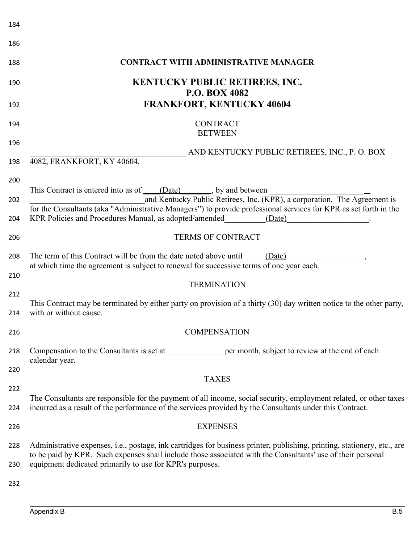| 184        |                                                                                                                                                                                                                                         |
|------------|-----------------------------------------------------------------------------------------------------------------------------------------------------------------------------------------------------------------------------------------|
| 186        |                                                                                                                                                                                                                                         |
| 188        | <b>CONTRACT WITH ADMINISTRATIVE MANAGER</b>                                                                                                                                                                                             |
| 190<br>192 | <b>KENTUCKY PUBLIC RETIREES, INC.</b><br><b>P.O. BOX 4082</b><br><b>FRANKFORT, KENTUCKY 40604</b>                                                                                                                                       |
|            | <b>CONTRACT</b>                                                                                                                                                                                                                         |
| 194        | <b>BETWEEN</b>                                                                                                                                                                                                                          |
| 196<br>198 | AND KENTUCKY PUBLIC RETIREES, INC., P. O. BOX<br>4082, FRANKFORT, KY 40604.                                                                                                                                                             |
| 200        |                                                                                                                                                                                                                                         |
| 202        | This Contract is entered into as of (Date), by and between<br>and Kentucky Public Retirees, Inc. (KPR), a corporation. The Agreement is                                                                                                 |
| 204        | for the Consultants (aka "Administrative Managers") to provide professional services for KPR as set forth in the<br>KPR Policies and Procedures Manual, as adopted/amended<br>(Date)                                                    |
| 206        | <b>TERMS OF CONTRACT</b>                                                                                                                                                                                                                |
| 208        | The term of this Contract will be from the date noted above until (Date)<br>at which time the agreement is subject to renewal for successive terms of one year each.                                                                    |
| 210        | <b>TERMINATION</b>                                                                                                                                                                                                                      |
| 212<br>214 | This Contract may be terminated by either party on provision of a thirty (30) day written notice to the other party,<br>with or without cause.                                                                                          |
| 216        | <b>COMPENSATION</b>                                                                                                                                                                                                                     |
| 218        | Compensation to the Consultants is set at<br>per month, subject to review at the end of each<br>calendar year.                                                                                                                          |
| 220        |                                                                                                                                                                                                                                         |
| 222        | <b>TAXES</b>                                                                                                                                                                                                                            |
| 224        | The Consultants are responsible for the payment of all income, social security, employment related, or other taxes<br>incurred as a result of the performance of the services provided by the Consultants under this Contract.          |
| 226        | <b>EXPENSES</b>                                                                                                                                                                                                                         |
| 228        | Administrative expenses, i.e., postage, ink cartridges for business printer, publishing, printing, stationery, etc., are<br>to be paid by KPR. Such expenses shall include those associated with the Consultants' use of their personal |
| 230        | equipment dedicated primarily to use for KPR's purposes.                                                                                                                                                                                |
| 232        |                                                                                                                                                                                                                                         |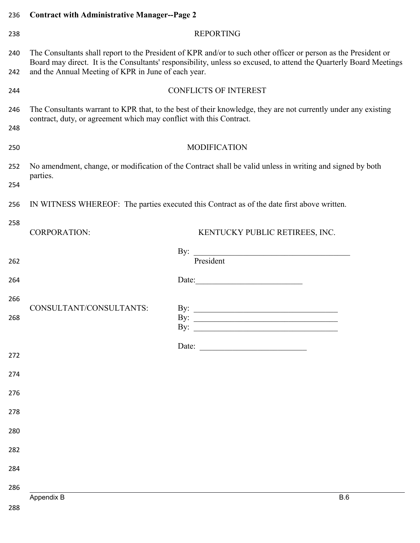| 236        | <b>Contract with Administrative Manager--Page 2</b>                 |                                                                                                                                                                                                                                       |  |
|------------|---------------------------------------------------------------------|---------------------------------------------------------------------------------------------------------------------------------------------------------------------------------------------------------------------------------------|--|
| 238        |                                                                     | <b>REPORTING</b>                                                                                                                                                                                                                      |  |
| 240<br>242 | and the Annual Meeting of KPR in June of each year.                 | The Consultants shall report to the President of KPR and/or to such other officer or person as the President or<br>Board may direct. It is the Consultants' responsibility, unless so excused, to attend the Quarterly Board Meetings |  |
|            |                                                                     |                                                                                                                                                                                                                                       |  |
| 244        |                                                                     | <b>CONFLICTS OF INTEREST</b>                                                                                                                                                                                                          |  |
| 246        | contract, duty, or agreement which may conflict with this Contract. | The Consultants warrant to KPR that, to the best of their knowledge, they are not currently under any existing                                                                                                                        |  |
| 248        |                                                                     |                                                                                                                                                                                                                                       |  |
| 250        |                                                                     | <b>MODIFICATION</b>                                                                                                                                                                                                                   |  |
| 252        | parties.                                                            | No amendment, change, or modification of the Contract shall be valid unless in writing and signed by both                                                                                                                             |  |
| 254        |                                                                     |                                                                                                                                                                                                                                       |  |
| 256        |                                                                     | IN WITNESS WHEREOF: The parties executed this Contract as of the date first above written.                                                                                                                                            |  |
| 258        | <b>CORPORATION:</b>                                                 | KENTUCKY PUBLIC RETIREES, INC.                                                                                                                                                                                                        |  |
|            |                                                                     | President<br>By:                                                                                                                                                                                                                      |  |
| 262        |                                                                     |                                                                                                                                                                                                                                       |  |
| 264        |                                                                     | Date:                                                                                                                                                                                                                                 |  |
| 266        |                                                                     |                                                                                                                                                                                                                                       |  |
| 268        | CONSULTANT/CONSULTANTS:                                             | By: $\qquad \qquad$<br>By:<br>By: $\qquad \qquad$                                                                                                                                                                                     |  |
|            |                                                                     |                                                                                                                                                                                                                                       |  |
| 272        |                                                                     | Date:                                                                                                                                                                                                                                 |  |
| 274        |                                                                     |                                                                                                                                                                                                                                       |  |
| 276        |                                                                     |                                                                                                                                                                                                                                       |  |
| 278        |                                                                     |                                                                                                                                                                                                                                       |  |
| 280        |                                                                     |                                                                                                                                                                                                                                       |  |
| 282        |                                                                     |                                                                                                                                                                                                                                       |  |
| 284        |                                                                     |                                                                                                                                                                                                                                       |  |
| 286        |                                                                     |                                                                                                                                                                                                                                       |  |
|            | Appendix B                                                          | B.6                                                                                                                                                                                                                                   |  |
| 288        |                                                                     |                                                                                                                                                                                                                                       |  |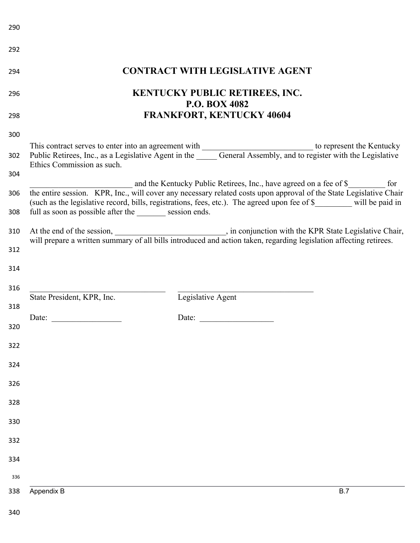| 292 |                                                                                                                                                                                                                                                                                                                                                                                                                                                                                                                                                                                                                                                                                                                                                                                                                                                                                                        |
|-----|--------------------------------------------------------------------------------------------------------------------------------------------------------------------------------------------------------------------------------------------------------------------------------------------------------------------------------------------------------------------------------------------------------------------------------------------------------------------------------------------------------------------------------------------------------------------------------------------------------------------------------------------------------------------------------------------------------------------------------------------------------------------------------------------------------------------------------------------------------------------------------------------------------|
| 294 | <b>CONTRACT WITH LEGISLATIVE AGENT</b>                                                                                                                                                                                                                                                                                                                                                                                                                                                                                                                                                                                                                                                                                                                                                                                                                                                                 |
| 296 | <b>KENTUCKY PUBLIC RETIREES, INC.</b><br><b>P.O. BOX 4082</b>                                                                                                                                                                                                                                                                                                                                                                                                                                                                                                                                                                                                                                                                                                                                                                                                                                          |
| 298 | <b>FRANKFORT, KENTUCKY 40604</b>                                                                                                                                                                                                                                                                                                                                                                                                                                                                                                                                                                                                                                                                                                                                                                                                                                                                       |
| 300 |                                                                                                                                                                                                                                                                                                                                                                                                                                                                                                                                                                                                                                                                                                                                                                                                                                                                                                        |
| 302 | This contract serves to enter into an agreement with<br>Public Retirees, Inc., as a Legislative Agent in the General Assembly, and to register with the Legislative<br>Ethics Commission as such.                                                                                                                                                                                                                                                                                                                                                                                                                                                                                                                                                                                                                                                                                                      |
| 304 |                                                                                                                                                                                                                                                                                                                                                                                                                                                                                                                                                                                                                                                                                                                                                                                                                                                                                                        |
| 306 | and the Kentucky Public Retirees, Inc., have agreed on a fee of \$<br>for<br>the entire session. KPR, Inc., will cover any necessary related costs upon approval of the State Legislative Chair<br>(such as the legislative record, bills, registrations, fees, etc.). The agreed upon fee of \$______ will be paid in                                                                                                                                                                                                                                                                                                                                                                                                                                                                                                                                                                                 |
| 308 | full as soon as possible after the session ends.                                                                                                                                                                                                                                                                                                                                                                                                                                                                                                                                                                                                                                                                                                                                                                                                                                                       |
| 310 |                                                                                                                                                                                                                                                                                                                                                                                                                                                                                                                                                                                                                                                                                                                                                                                                                                                                                                        |
| 312 |                                                                                                                                                                                                                                                                                                                                                                                                                                                                                                                                                                                                                                                                                                                                                                                                                                                                                                        |
| 314 |                                                                                                                                                                                                                                                                                                                                                                                                                                                                                                                                                                                                                                                                                                                                                                                                                                                                                                        |
| 316 |                                                                                                                                                                                                                                                                                                                                                                                                                                                                                                                                                                                                                                                                                                                                                                                                                                                                                                        |
| 318 | Legislative Agent<br>State President, KPR, Inc.                                                                                                                                                                                                                                                                                                                                                                                                                                                                                                                                                                                                                                                                                                                                                                                                                                                        |
| 320 | Date: $\frac{1}{\sqrt{1-\frac{1}{2}} \cdot \frac{1}{2} \cdot \frac{1}{2} \cdot \frac{1}{2} \cdot \frac{1}{2} \cdot \frac{1}{2} \cdot \frac{1}{2} \cdot \frac{1}{2} \cdot \frac{1}{2} \cdot \frac{1}{2} \cdot \frac{1}{2} \cdot \frac{1}{2} \cdot \frac{1}{2} \cdot \frac{1}{2} \cdot \frac{1}{2} \cdot \frac{1}{2} \cdot \frac{1}{2} \cdot \frac{1}{2} \cdot \frac{1}{2} \cdot \frac{1}{2} \cdot \frac{1}{2} \cdot \frac{1}{2} \cdot \frac{1}{2}$<br>Date: $\frac{1}{\sqrt{1-\frac{1}{2}} \cdot \frac{1}{2} \cdot \frac{1}{2} \cdot \frac{1}{2} \cdot \frac{1}{2} \cdot \frac{1}{2} \cdot \frac{1}{2} \cdot \frac{1}{2} \cdot \frac{1}{2} \cdot \frac{1}{2} \cdot \frac{1}{2} \cdot \frac{1}{2} \cdot \frac{1}{2} \cdot \frac{1}{2} \cdot \frac{1}{2} \cdot \frac{1}{2} \cdot \frac{1}{2} \cdot \frac{1}{2} \cdot \frac{1}{2} \cdot \frac{1}{2} \cdot \frac{1}{2} \cdot \frac{1}{2} \cdot \frac{1}{2}$ |
|     |                                                                                                                                                                                                                                                                                                                                                                                                                                                                                                                                                                                                                                                                                                                                                                                                                                                                                                        |
| 322 |                                                                                                                                                                                                                                                                                                                                                                                                                                                                                                                                                                                                                                                                                                                                                                                                                                                                                                        |
| 324 |                                                                                                                                                                                                                                                                                                                                                                                                                                                                                                                                                                                                                                                                                                                                                                                                                                                                                                        |
| 326 |                                                                                                                                                                                                                                                                                                                                                                                                                                                                                                                                                                                                                                                                                                                                                                                                                                                                                                        |
| 328 |                                                                                                                                                                                                                                                                                                                                                                                                                                                                                                                                                                                                                                                                                                                                                                                                                                                                                                        |
| 330 |                                                                                                                                                                                                                                                                                                                                                                                                                                                                                                                                                                                                                                                                                                                                                                                                                                                                                                        |
| 332 |                                                                                                                                                                                                                                                                                                                                                                                                                                                                                                                                                                                                                                                                                                                                                                                                                                                                                                        |
| 334 |                                                                                                                                                                                                                                                                                                                                                                                                                                                                                                                                                                                                                                                                                                                                                                                                                                                                                                        |
| 336 |                                                                                                                                                                                                                                                                                                                                                                                                                                                                                                                                                                                                                                                                                                                                                                                                                                                                                                        |
| 338 | Appendix B<br>B.7                                                                                                                                                                                                                                                                                                                                                                                                                                                                                                                                                                                                                                                                                                                                                                                                                                                                                      |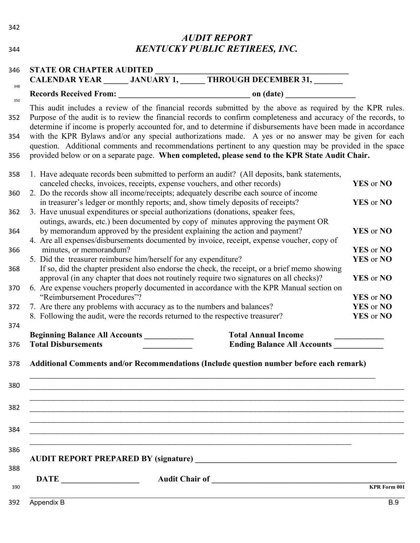| 342 |                                                                                                                                                           | <b>AUDIT REPORT</b>                                                                                                                                                                                                                                                                                                 |                                   |
|-----|-----------------------------------------------------------------------------------------------------------------------------------------------------------|---------------------------------------------------------------------------------------------------------------------------------------------------------------------------------------------------------------------------------------------------------------------------------------------------------------------|-----------------------------------|
| 344 |                                                                                                                                                           | <b>KENTUCKY PUBLIC RETIREES, INC.</b>                                                                                                                                                                                                                                                                               |                                   |
| 346 | <b>STATE OR CHAPTER AUDITED</b>                                                                                                                           | STATE OR CHAPTER AUDITED<br>CALENDAR YEAR _______ JANUARY 1, ______ THROUGH DECEMBER 31, _______                                                                                                                                                                                                                    |                                   |
| 348 |                                                                                                                                                           |                                                                                                                                                                                                                                                                                                                     |                                   |
| 350 |                                                                                                                                                           | This audit includes a review of the financial records submitted by the above as required by the KPR rules.                                                                                                                                                                                                          |                                   |
|     |                                                                                                                                                           | Purpose of the audit is to review the financial records to confirm completeness and accuracy of the records, to<br>determine if income is properly accounted for, and to determine if disbursements have been made in accordance                                                                                    |                                   |
|     |                                                                                                                                                           | with the KPR Bylaws and/or any special authorizations made. A yes or no answer may be given for each<br>question. Additional comments and recommendations pertinent to any question may be provided in the space<br>provided below or on a separate page. When completed, please send to the KPR State Audit Chair. |                                   |
|     |                                                                                                                                                           | 1. Have adequate records been submitted to perform an audit? (All deposits, bank statements,                                                                                                                                                                                                                        |                                   |
|     | canceled checks, invoices, receipts, expense vouchers, and other records)                                                                                 |                                                                                                                                                                                                                                                                                                                     | YES or NO                         |
|     |                                                                                                                                                           | 2. Do the records show all income/receipts; adequately describe each source of income                                                                                                                                                                                                                               |                                   |
|     |                                                                                                                                                           | in treasurer's ledger or monthly reports; and, show timely deposits of receipts?                                                                                                                                                                                                                                    | YES or NO                         |
|     | 3. Have unusual expenditures or special authorizations (donations, speaker fees,                                                                          |                                                                                                                                                                                                                                                                                                                     |                                   |
|     |                                                                                                                                                           | outings, awards, etc.) been documented by copy of minutes approving the payment OR<br>by memorandum approved by the president explaining the action and payment?                                                                                                                                                    | YES or NO                         |
|     |                                                                                                                                                           | 4. Are all expenses/disbursements documented by invoice, receipt, expense voucher, copy of                                                                                                                                                                                                                          |                                   |
|     | minutes, or memorandum?                                                                                                                                   |                                                                                                                                                                                                                                                                                                                     | YES or NO                         |
|     | 5. Did the treasurer reimburse him/herself for any expenditure?                                                                                           |                                                                                                                                                                                                                                                                                                                     | YES or NO                         |
|     |                                                                                                                                                           | If so, did the chapter president also endorse the check, the receipt, or a brief memo showing                                                                                                                                                                                                                       |                                   |
|     |                                                                                                                                                           | approval (in any chapter that does not routinely require two signatures on all checks)?<br>6. Are expense vouchers properly documented in accordance with the KPR Manual section on                                                                                                                                 | YES or NO                         |
|     | "Reimbursement Procedures"?                                                                                                                               |                                                                                                                                                                                                                                                                                                                     | YES or NO                         |
|     | 7. Are there any problems with accuracy as to the numbers and balances?<br>8. Following the audit, were the records returned to the respective treasurer? |                                                                                                                                                                                                                                                                                                                     | YES or NO<br>YES or NO            |
|     |                                                                                                                                                           |                                                                                                                                                                                                                                                                                                                     |                                   |
|     | Beginning Balance All Accounts __________                                                                                                                 | <b>Total Annual Income</b>                                                                                                                                                                                                                                                                                          |                                   |
|     | <b>Total Disbursements</b>                                                                                                                                | Ending Balance All Accounts                                                                                                                                                                                                                                                                                         |                                   |
|     | <u> 1989 - Johann Stoff, amerikansk politiker (d. 1989)</u>                                                                                               | Additional Comments and/or Recommendations (Include question number before each remark)                                                                                                                                                                                                                             |                                   |
|     | <u> 1989 - Johann Stoff, amerikansk politiker (d. 1989)</u>                                                                                               |                                                                                                                                                                                                                                                                                                                     |                                   |
|     |                                                                                                                                                           |                                                                                                                                                                                                                                                                                                                     |                                   |
|     |                                                                                                                                                           | AUDIT REPORT PREPARED BY (signature)                                                                                                                                                                                                                                                                                |                                   |
|     | $\overline{\text{DATE}}$                                                                                                                                  |                                                                                                                                                                                                                                                                                                                     |                                   |
|     | Appendix B                                                                                                                                                |                                                                                                                                                                                                                                                                                                                     | <b>KPR Form 001</b><br><b>B.9</b> |
|     |                                                                                                                                                           |                                                                                                                                                                                                                                                                                                                     |                                   |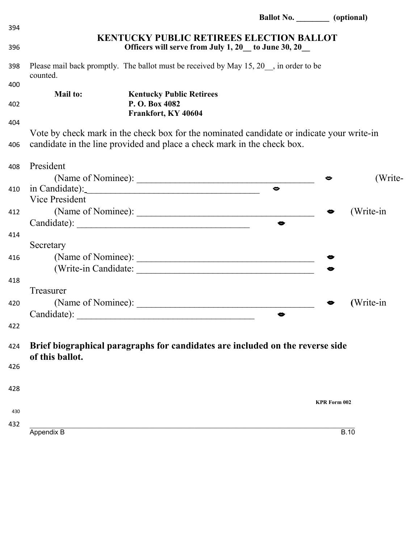|     |                       |                                                                                           | Ballot No. (optional) |                     |           |
|-----|-----------------------|-------------------------------------------------------------------------------------------|-----------------------|---------------------|-----------|
| 394 |                       | <b>KENTUCKY PUBLIC RETIREES ELECTION BALLOT</b>                                           |                       |                     |           |
| 396 |                       | Officers will serve from July 1, 20 to June 30, 20                                        |                       |                     |           |
| 398 | counted.              | Please mail back promptly. The ballot must be received by May 15, 20, in order to be      |                       |                     |           |
| 400 | <b>Mail to:</b>       |                                                                                           |                       |                     |           |
| 402 |                       | <b>Kentucky Public Retirees</b><br>P.O. Box 4082                                          |                       |                     |           |
|     |                       | Frankfort, KY 40604                                                                       |                       |                     |           |
| 404 |                       |                                                                                           |                       |                     |           |
|     |                       | Vote by check mark in the check box for the nominated candidate or indicate your write-in |                       |                     |           |
| 406 |                       | candidate in the line provided and place a check mark in the check box.                   |                       |                     |           |
| 408 | President             |                                                                                           |                       |                     |           |
|     |                       | (Name of Nominee):                                                                        |                       | ◒                   | (Write-   |
| 410 |                       |                                                                                           | $\bullet$             |                     |           |
|     | <b>Vice President</b> |                                                                                           |                       |                     |           |
| 412 |                       |                                                                                           |                       |                     | (Write-in |
|     |                       |                                                                                           | $\bullet$             |                     |           |
| 414 |                       |                                                                                           |                       |                     |           |
|     | Secretary             |                                                                                           |                       |                     |           |
| 416 |                       |                                                                                           |                       |                     |           |
|     |                       |                                                                                           |                       |                     |           |
| 418 |                       |                                                                                           |                       |                     |           |
|     | Treasurer             |                                                                                           |                       |                     |           |
| 420 |                       | (Name of Nominee):                                                                        |                       |                     | (Write-in |
|     | Candidate):           |                                                                                           | $\bullet$             |                     |           |
| 422 |                       |                                                                                           |                       |                     |           |
| 424 |                       | Brief biographical paragraphs for candidates are included on the reverse side             |                       |                     |           |
|     | of this ballot.       |                                                                                           |                       |                     |           |
| 426 |                       |                                                                                           |                       |                     |           |
| 428 |                       |                                                                                           |                       |                     |           |
|     |                       |                                                                                           |                       | <b>KPR Form 002</b> |           |
| 430 |                       |                                                                                           |                       |                     |           |
| 432 |                       |                                                                                           |                       |                     |           |
|     | Appendix B            |                                                                                           |                       | <b>B.10</b>         |           |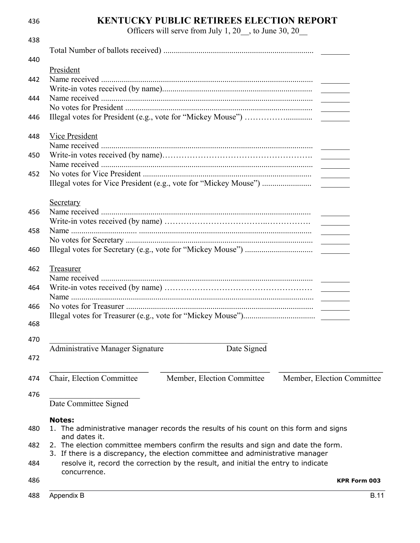| 436 | <b>KENTUCKY PUBLIC RETIREES ELECTION REPORT</b>                                       |
|-----|---------------------------------------------------------------------------------------|
|     | Officers will serve from July 1, 20 __, to June 30, 20 __                             |
| 438 |                                                                                       |
|     |                                                                                       |
| 440 |                                                                                       |
|     | President                                                                             |
| 442 |                                                                                       |
|     |                                                                                       |
| 444 |                                                                                       |
|     |                                                                                       |
| 446 |                                                                                       |
|     |                                                                                       |
| 448 | <b>Vice President</b>                                                                 |
|     |                                                                                       |
| 450 |                                                                                       |
|     |                                                                                       |
| 452 |                                                                                       |
|     |                                                                                       |
|     | Secretary                                                                             |
| 456 |                                                                                       |
|     |                                                                                       |
| 458 | <u>and the state</u>                                                                  |
|     |                                                                                       |
| 460 |                                                                                       |
|     |                                                                                       |
| 462 | <b>Treasurer</b>                                                                      |
|     |                                                                                       |
| 464 |                                                                                       |
|     |                                                                                       |
| 466 |                                                                                       |
|     |                                                                                       |
| 468 |                                                                                       |
| 470 |                                                                                       |
|     | Administrative Manager Signature<br>Date Signed                                       |
| 472 |                                                                                       |
|     |                                                                                       |
| 474 | Chair, Election Committee<br>Member, Election Committee<br>Member, Election Committee |
|     |                                                                                       |
| 476 |                                                                                       |
|     | Date Committee Signed                                                                 |
|     | <b>Notes:</b>                                                                         |
| 480 | 1. The administrative manager records the results of his count on this form and signs |
|     | and dates it.                                                                         |
| 482 | 2. The election committee members confirm the results and sign and date the form.     |
|     | 3. If there is a discrepancy, the election committee and administrative manager       |
| 484 | resolve it, record the correction by the result, and initial the entry to indicate    |
|     | concurrence.                                                                          |
| 486 | <b>KPR Form 003</b>                                                                   |
| 488 | Appendix B<br><b>B.11</b>                                                             |
|     |                                                                                       |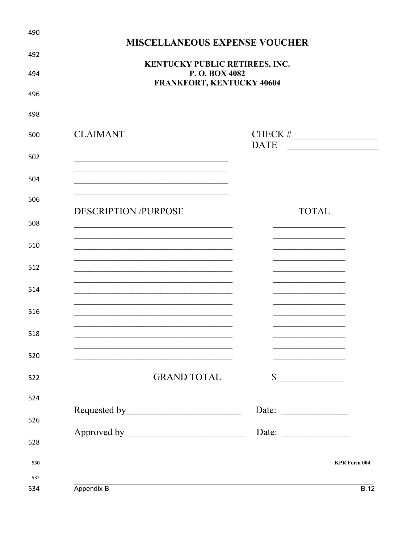| <b>MISCELLANEOUS EXPENSE VOUCHER</b>                                                      |                                                                                   |
|-------------------------------------------------------------------------------------------|-----------------------------------------------------------------------------------|
| KENTUCKY PUBLIC RETIREES, INC.                                                            |                                                                                   |
| P.O. BOX 4082<br>FRANKFORT, KENTUCKY 40604                                                |                                                                                   |
|                                                                                           |                                                                                   |
|                                                                                           |                                                                                   |
| <b>CLAIMANT</b>                                                                           | <b>DATE</b>                                                                       |
|                                                                                           |                                                                                   |
|                                                                                           |                                                                                   |
|                                                                                           |                                                                                   |
| <b>DESCRIPTION /PURPOSE</b>                                                               | <b>TOTAL</b>                                                                      |
|                                                                                           |                                                                                   |
|                                                                                           |                                                                                   |
|                                                                                           |                                                                                   |
|                                                                                           |                                                                                   |
|                                                                                           |                                                                                   |
|                                                                                           |                                                                                   |
| the control of the control of the control of the control of the control of the control of | the control of the control of the<br>the control of the control of the control of |
| <b>GRAND TOTAL</b>                                                                        | $\mathbb{S}$<br><u> 1989 - Johann Barbara, martxa amerikan</u>                    |
|                                                                                           |                                                                                   |
|                                                                                           | Date: $\qquad \qquad$                                                             |
|                                                                                           | Date:                                                                             |
|                                                                                           |                                                                                   |
|                                                                                           | <b>KPR Form 004</b>                                                               |
| Appendix B                                                                                | B.12                                                                              |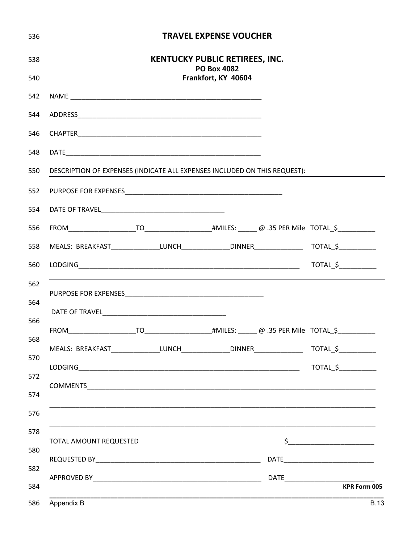| 536 |                                                                                                       |                                       | <b>TRAVEL EXPENSE VOUCHER</b> |                                                                                                                                                                                                                                                                                                                                                                     |
|-----|-------------------------------------------------------------------------------------------------------|---------------------------------------|-------------------------------|---------------------------------------------------------------------------------------------------------------------------------------------------------------------------------------------------------------------------------------------------------------------------------------------------------------------------------------------------------------------|
| 538 |                                                                                                       | <b>KENTUCKY PUBLIC RETIREES, INC.</b> | <b>PO Box 4082</b>            |                                                                                                                                                                                                                                                                                                                                                                     |
| 540 |                                                                                                       |                                       | Frankfort, KY 40604           |                                                                                                                                                                                                                                                                                                                                                                     |
| 542 |                                                                                                       |                                       |                               |                                                                                                                                                                                                                                                                                                                                                                     |
| 544 |                                                                                                       |                                       |                               |                                                                                                                                                                                                                                                                                                                                                                     |
| 546 |                                                                                                       |                                       |                               |                                                                                                                                                                                                                                                                                                                                                                     |
| 548 |                                                                                                       |                                       |                               |                                                                                                                                                                                                                                                                                                                                                                     |
| 550 | DESCRIPTION OF EXPENSES (INDICATE ALL EXPENSES INCLUDED ON THIS REQUEST):                             |                                       |                               |                                                                                                                                                                                                                                                                                                                                                                     |
| 552 |                                                                                                       |                                       |                               |                                                                                                                                                                                                                                                                                                                                                                     |
| 554 |                                                                                                       |                                       |                               |                                                                                                                                                                                                                                                                                                                                                                     |
| 556 |                                                                                                       |                                       |                               |                                                                                                                                                                                                                                                                                                                                                                     |
| 558 | MEALS: BREAKFAST_______________LUNCH______________DINNER________________________ TOTAL_\$____________ |                                       |                               |                                                                                                                                                                                                                                                                                                                                                                     |
| 560 |                                                                                                       |                                       |                               |                                                                                                                                                                                                                                                                                                                                                                     |
| 562 |                                                                                                       |                                       |                               |                                                                                                                                                                                                                                                                                                                                                                     |
| 564 |                                                                                                       |                                       |                               |                                                                                                                                                                                                                                                                                                                                                                     |
| 566 |                                                                                                       |                                       |                               |                                                                                                                                                                                                                                                                                                                                                                     |
| 568 | MEALS: BREAKFAST___________________LUNCH__________________DINNER________________                      |                                       |                               | TOTAL <sub>2</sub>                                                                                                                                                                                                                                                                                                                                                  |
| 570 |                                                                                                       |                                       |                               |                                                                                                                                                                                                                                                                                                                                                                     |
| 572 |                                                                                                       |                                       |                               |                                                                                                                                                                                                                                                                                                                                                                     |
| 574 |                                                                                                       |                                       |                               |                                                                                                                                                                                                                                                                                                                                                                     |
| 576 |                                                                                                       |                                       |                               |                                                                                                                                                                                                                                                                                                                                                                     |
| 578 |                                                                                                       |                                       |                               |                                                                                                                                                                                                                                                                                                                                                                     |
| 580 | TOTAL AMOUNT REQUESTED                                                                                |                                       |                               | $\begin{picture}(20,10) \put(0,0){\vector(1,0){100}} \put(15,0){\vector(1,0){100}} \put(15,0){\vector(1,0){100}} \put(15,0){\vector(1,0){100}} \put(15,0){\vector(1,0){100}} \put(15,0){\vector(1,0){100}} \put(15,0){\vector(1,0){100}} \put(15,0){\vector(1,0){100}} \put(15,0){\vector(1,0){100}} \put(15,0){\vector(1,0){100}} \put(15,0){\vector(1,0){100}} \$ |
| 582 |                                                                                                       |                                       |                               |                                                                                                                                                                                                                                                                                                                                                                     |
| 584 |                                                                                                       |                                       |                               | <b>KPR Form 005</b>                                                                                                                                                                                                                                                                                                                                                 |
| 586 | Appendix B                                                                                            |                                       |                               | <b>B.13</b>                                                                                                                                                                                                                                                                                                                                                         |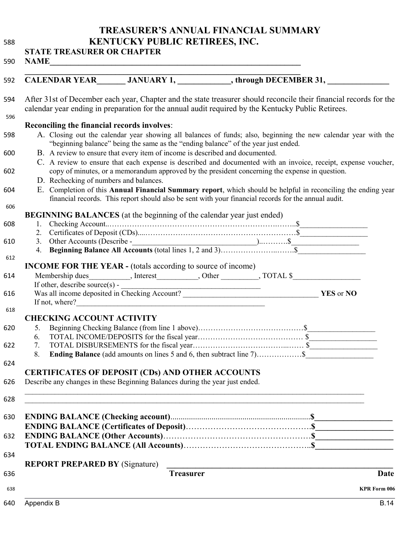**TREASURER'S ANNUAL FINANCIAL SUMMARY KENTUCKY PUBLIC RETIREES, INC.** 

|            |                                                    |                                                                              | After 31st of December each year, Chapter and the state treasurer should reconcile their financial records for the<br>calendar year ending in preparation for the annual audit required by the Kentucky Public Retirees. |                     |
|------------|----------------------------------------------------|------------------------------------------------------------------------------|--------------------------------------------------------------------------------------------------------------------------------------------------------------------------------------------------------------------------|---------------------|
|            |                                                    |                                                                              |                                                                                                                                                                                                                          |                     |
|            | <b>Reconciling the financial records involves:</b> |                                                                              | A. Closing out the calendar year showing all balances of funds; also, beginning the new calendar year with the                                                                                                           |                     |
|            |                                                    |                                                                              | "beginning balance" being the same as the "ending balance" of the year just ended.                                                                                                                                       |                     |
|            |                                                    | B. A review to ensure that every item of income is described and documented. |                                                                                                                                                                                                                          |                     |
|            |                                                    |                                                                              | C. A review to ensure that each expense is described and documented with an invoice, receipt, expense voucher,<br>copy of minutes, or a memorandum approved by the president concerning the expense in question.         |                     |
|            | D. Rechecking of numbers and balances.             |                                                                              |                                                                                                                                                                                                                          |                     |
|            |                                                    |                                                                              | E. Completion of this Annual Financial Summary report, which should be helpful in reconciling the ending year                                                                                                            |                     |
|            |                                                    |                                                                              | financial records. This report should also be sent with your financial records for the annual audit.                                                                                                                     |                     |
|            |                                                    |                                                                              |                                                                                                                                                                                                                          |                     |
|            |                                                    | <b>BEGINNING BALANCES</b> (at the beginning of the calendar year just ended) |                                                                                                                                                                                                                          |                     |
|            |                                                    |                                                                              |                                                                                                                                                                                                                          |                     |
|            |                                                    |                                                                              |                                                                                                                                                                                                                          |                     |
|            |                                                    |                                                                              |                                                                                                                                                                                                                          |                     |
|            |                                                    |                                                                              |                                                                                                                                                                                                                          |                     |
|            |                                                    | <b>INCOME FOR THE YEAR - (totals according to source of income)</b>          |                                                                                                                                                                                                                          |                     |
|            |                                                    |                                                                              |                                                                                                                                                                                                                          |                     |
|            |                                                    |                                                                              |                                                                                                                                                                                                                          |                     |
|            |                                                    |                                                                              |                                                                                                                                                                                                                          |                     |
|            |                                                    |                                                                              |                                                                                                                                                                                                                          |                     |
|            | <b>CHECKING ACCOUNT ACTIVITY</b>                   |                                                                              |                                                                                                                                                                                                                          |                     |
| 5.         |                                                    |                                                                              |                                                                                                                                                                                                                          |                     |
| 6.         |                                                    |                                                                              |                                                                                                                                                                                                                          |                     |
| 7.         |                                                    |                                                                              |                                                                                                                                                                                                                          |                     |
| 8.         |                                                    |                                                                              |                                                                                                                                                                                                                          |                     |
|            |                                                    |                                                                              |                                                                                                                                                                                                                          |                     |
|            |                                                    | <b>CERTIFICATES OF DEPOSIT (CDs) AND OTHER ACCOUNTS</b>                      |                                                                                                                                                                                                                          |                     |
|            |                                                    | Describe any changes in these Beginning Balances during the year just ended. |                                                                                                                                                                                                                          |                     |
|            |                                                    |                                                                              |                                                                                                                                                                                                                          |                     |
|            |                                                    |                                                                              |                                                                                                                                                                                                                          |                     |
|            |                                                    |                                                                              |                                                                                                                                                                                                                          |                     |
|            |                                                    |                                                                              |                                                                                                                                                                                                                          |                     |
|            |                                                    |                                                                              |                                                                                                                                                                                                                          |                     |
|            |                                                    |                                                                              |                                                                                                                                                                                                                          |                     |
|            |                                                    |                                                                              |                                                                                                                                                                                                                          |                     |
|            | <b>REPORT PREPARED BY (Signature)</b>              |                                                                              | <u> 1980 - Andrea Andrew Maria (h. 1980).</u>                                                                                                                                                                            |                     |
|            |                                                    | <b>Treasurer</b>                                                             |                                                                                                                                                                                                                          | Date                |
|            |                                                    |                                                                              |                                                                                                                                                                                                                          | <b>KPR Form 006</b> |
|            |                                                    |                                                                              |                                                                                                                                                                                                                          | <b>B.14</b>         |
| Appendix B |                                                    |                                                                              |                                                                                                                                                                                                                          |                     |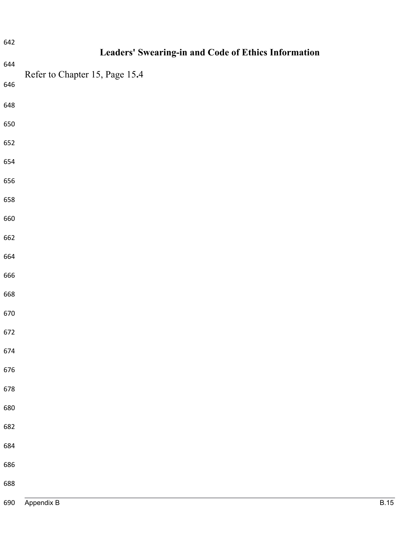| 642 | Leaders' Swearing-in and Code of Ethics Information |
|-----|-----------------------------------------------------|
| 644 | Refer to Chapter 15, Page 15.4                      |
| 646 |                                                     |
| 648 |                                                     |
| 650 |                                                     |
| 652 |                                                     |
| 654 |                                                     |
| 656 |                                                     |
| 658 |                                                     |
| 660 |                                                     |
| 662 |                                                     |
| 664 |                                                     |
| 666 |                                                     |
| 668 |                                                     |
| 670 |                                                     |
| 672 |                                                     |
| 674 |                                                     |
| 676 |                                                     |
| 678 |                                                     |
| 680 |                                                     |
| 682 |                                                     |
| 684 |                                                     |
| 686 |                                                     |
| 688 |                                                     |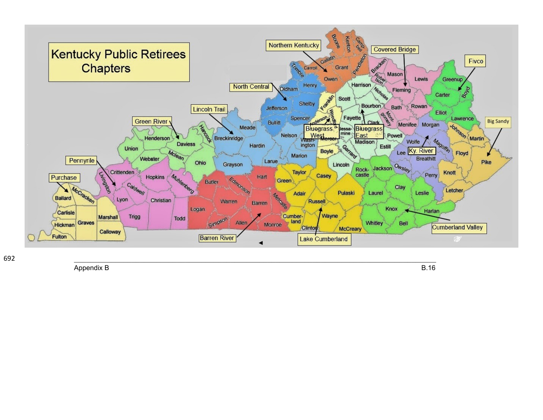

Appendix B

**B.16**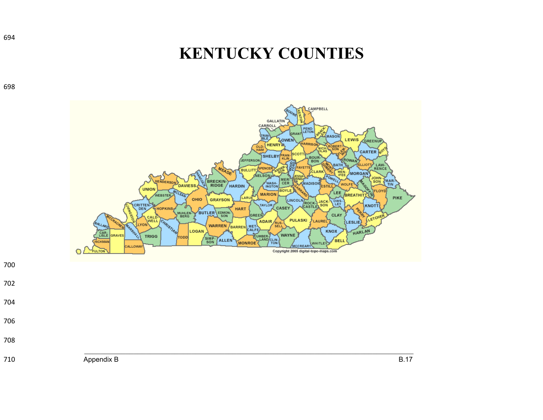## **KENTUCKY COUNTIES**



- 
- 
- 
- 

Appendix B B.17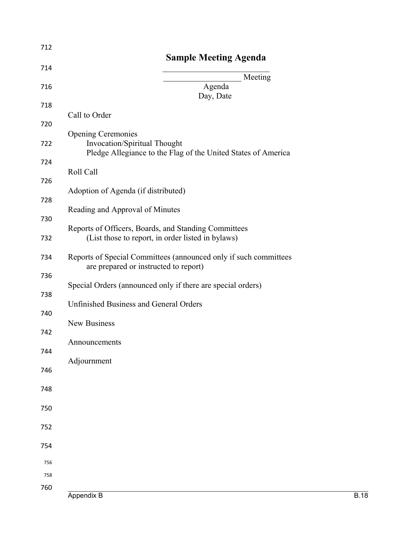| 712        |                                                                                                           |
|------------|-----------------------------------------------------------------------------------------------------------|
| 714        | <b>Sample Meeting Agenda</b>                                                                              |
| 716        | Meeting<br>Agenda                                                                                         |
| 718        | Day, Date                                                                                                 |
| 720        | Call to Order                                                                                             |
| 722        | <b>Opening Ceremonies</b><br><b>Invocation/Spiritual Thought</b>                                          |
| 724        | Pledge Allegiance to the Flag of the United States of America                                             |
| 726        | Roll Call                                                                                                 |
| 728        | Adoption of Agenda (if distributed)                                                                       |
|            | Reading and Approval of Minutes                                                                           |
| 730        | Reports of Officers, Boards, and Standing Committees                                                      |
| 732        | (List those to report, in order listed in bylaws)                                                         |
| 734        | Reports of Special Committees (announced only if such committees<br>are prepared or instructed to report) |
| 736        | Special Orders (announced only if there are special orders)                                               |
| 738        |                                                                                                           |
| 740        | <b>Unfinished Business and General Orders</b>                                                             |
| 742        | New Business                                                                                              |
| 744        | Announcements                                                                                             |
| 746        | Adjournment                                                                                               |
| 748        |                                                                                                           |
|            |                                                                                                           |
| 750        |                                                                                                           |
| 752        |                                                                                                           |
| 754        |                                                                                                           |
| 756        |                                                                                                           |
| 758<br>760 |                                                                                                           |
|            | Appendix B<br><b>B.18</b>                                                                                 |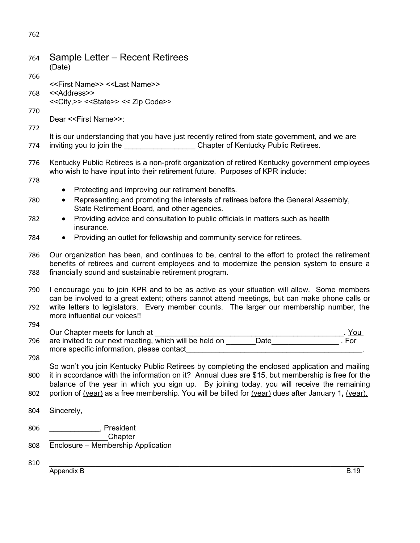| 764 | Sample Letter – Recent Retirees<br>(Date)                                                                                                                                                                                                                                               |  |  |
|-----|-----------------------------------------------------------------------------------------------------------------------------------------------------------------------------------------------------------------------------------------------------------------------------------------|--|--|
| 766 | < <first name="">&gt; &lt;<last name="">&gt;</last></first>                                                                                                                                                                                                                             |  |  |
| 768 | < <address>&gt;</address>                                                                                                                                                                                                                                                               |  |  |
| 770 | << City, >> << State>> << Zip Code>>                                                                                                                                                                                                                                                    |  |  |
| 772 | Dear < <first name="">&gt;:</first>                                                                                                                                                                                                                                                     |  |  |
| 774 | It is our understanding that you have just recently retired from state government, and we are<br>inviting you to join the ______________________Chapter of Kentucky Public Retirees.                                                                                                    |  |  |
| 776 | Kentucky Public Retirees is a non-profit organization of retired Kentucky government employees<br>who wish to have input into their retirement future. Purposes of KPR include:                                                                                                         |  |  |
| 778 | Protecting and improving our retirement benefits.<br>$\bullet$                                                                                                                                                                                                                          |  |  |
| 780 | Representing and promoting the interests of retirees before the General Assembly,<br>$\bullet$<br>State Retirement Board, and other agencies.                                                                                                                                           |  |  |
| 782 | Providing advice and consultation to public officials in matters such as health<br>$\bullet$<br>insurance.                                                                                                                                                                              |  |  |
| 784 | Providing an outlet for fellowship and community service for retirees.<br>$\bullet$                                                                                                                                                                                                     |  |  |
| 786 | Our organization has been, and continues to be, central to the effort to protect the retirement<br>benefits of retirees and current employees and to modernize the pension system to ensure a                                                                                           |  |  |
| 788 | financially sound and sustainable retirement program.                                                                                                                                                                                                                                   |  |  |
| 790 | I encourage you to join KPR and to be as active as your situation will allow. Some members<br>can be involved to a great extent; others cannot attend meetings, but can make phone calls or<br>write letters to legislators. Every member counts. The larger our membership number, the |  |  |
| 792 | more influential our voices!!                                                                                                                                                                                                                                                           |  |  |
| 794 | Our Chapter meets for lunch at<br>. You                                                                                                                                                                                                                                                 |  |  |
| 796 | Date $\qquad \qquad$<br>are invited to our next meeting, which will be held on<br>For<br>more specific information, please contact                                                                                                                                                      |  |  |
| 798 | So won't you join Kentucky Public Retirees by completing the enclosed application and mailing                                                                                                                                                                                           |  |  |
| 800 | it in accordance with the information on it? Annual dues are \$15, but membership is free for the                                                                                                                                                                                       |  |  |
| 802 | balance of the year in which you sign up. By joining today, you will receive the remaining<br>portion of (year) as a free membership. You will be billed for (year) dues after January 1, (year).                                                                                       |  |  |
| 804 | Sincerely,                                                                                                                                                                                                                                                                              |  |  |
| 806 | , President                                                                                                                                                                                                                                                                             |  |  |
| 808 | Chapter<br>Enclosure - Membership Application                                                                                                                                                                                                                                           |  |  |
| 810 |                                                                                                                                                                                                                                                                                         |  |  |
|     | Appendix B<br><b>B.19</b>                                                                                                                                                                                                                                                               |  |  |